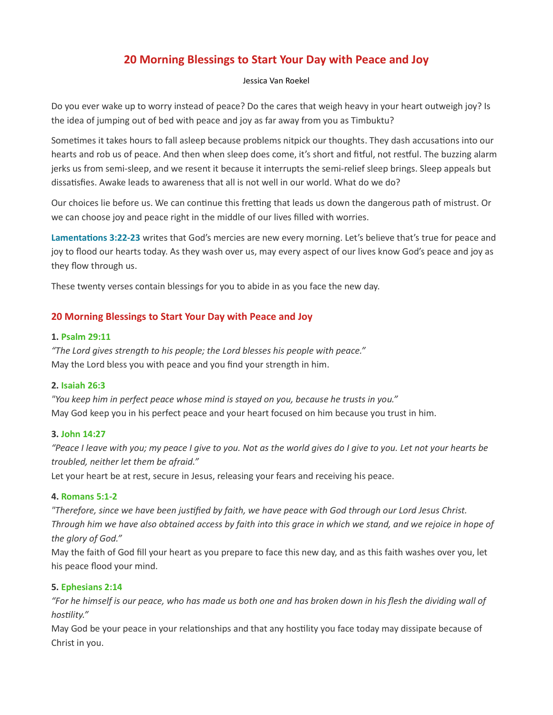# 20 Morning Blessings to Start Your Day with Peace and Joy

#### Jessica Van Roekel

Do you ever wake up to worry instead of peace? Do the cares that weigh heavy in your heart outweigh joy? Is the idea of jumping out of bed with peace and joy as far away from you as Timbuktu?

Sometimes it takes hours to fall asleep because problems nitpick our thoughts. They dash accusations into our hearts and rob us of peace. And then when sleep does come, it's short and fitful, not restful. The buzzing alarm jerks us from semi-sleep, and we resent it because it interrupts the semi-relief sleep brings. Sleep appeals but dissatisfies. Awake leads to awareness that all is not well in our world. What do we do?

Our choices lie before us. We can continue this fretting that leads us down the dangerous path of mistrust. Or we can choose joy and peace right in the middle of our lives filled with worries.

Lamentations 3:22-23 writes that God's mercies are new every morning. Let's believe that's true for peace and joy to flood our hearts today. As they wash over us, may every aspect of our lives know God's peace and joy as they flow through us.

These twenty verses contain blessings for you to abide in as you face the new day.

# 20 Morning Blessings to Start Your Day with Peace and Joy

## 1. Psalm 29:11

"The Lord gives strength to his people; the Lord blesses his people with peace." May the Lord bless you with peace and you find your strength in him.

## 2. Isaiah 26:3

"You keep him in perfect peace whose mind is stayed on you, because he trusts in you." May God keep you in his perfect peace and your heart focused on him because you trust in him.

## 3. John 14:27

"Peace I leave with you; my peace I give to you. Not as the world gives do I give to you. Let not your hearts be troubled, neither let them be afraid."

Let your heart be at rest, secure in Jesus, releasing your fears and receiving his peace.

# 4. Romans 5:1-2

"Therefore, since we have been justified by faith, we have peace with God through our Lord Jesus Christ. Through him we have also obtained access by faith into this grace in which we stand, and we rejoice in hope of the glory of God."

May the faith of God fill your heart as you prepare to face this new day, and as this faith washes over you, let his peace flood your mind.

## 5. Ephesians 2:14

"For he himself is our peace, who has made us both one and has broken down in his flesh the dividing wall of hostility."

May God be your peace in your relationships and that any hostility you face today may dissipate because of Christ in you.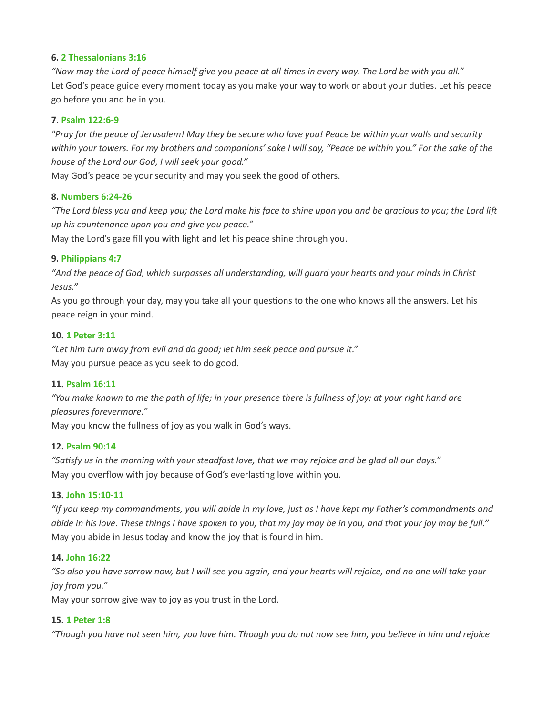## 6. 2 Thessalonians 3:16

"Now may the Lord of peace himself give you peace at all times in every way. The Lord be with you all." Let God's peace guide every moment today as you make your way to work or about your duties. Let his peace go before you and be in you.

## 7. Psalm 122:6-9

"Pray for the peace of Jerusalem! May they be secure who love you! Peace be within your walls and security within your towers. For my brothers and companions' sake I will say, "Peace be within you." For the sake of the house of the Lord our God, I will seek your good."

May God's peace be your security and may you seek the good of others.

#### 8. Numbers 6:24-26

"The Lord bless you and keep you; the Lord make his face to shine upon you and be gracious to you; the Lord lift up his countenance upon you and give you peace."

May the Lord's gaze fill you with light and let his peace shine through you.

# 9. Philippians 4:7

"And the peace of God, which surpasses all understanding, will guard your hearts and your minds in Christ Jesus."

As you go through your day, may you take all your questions to the one who knows all the answers. Let his peace reign in your mind.

#### 10. 1 Peter 3:11

"Let him turn away from evil and do good; let him seek peace and pursue it." May you pursue peace as you seek to do good.

#### 11. Psalm 16:11

"You make known to me the path of life; in your presence there is fullness of joy; at your right hand are pleasures forevermore."

May you know the fullness of joy as you walk in God's ways.

# 12. Psalm 90:14

"Satisfy us in the morning with your steadfast love, that we may rejoice and be glad all our days." May you overflow with joy because of God's everlasting love within you.

#### 13. John 15:10-11

"If you keep my commandments, you will abide in my love, just as I have kept my Father's commandments and abide in his love. These things I have spoken to you, that my joy may be in you, and that your joy may be full." May you abide in Jesus today and know the joy that is found in him.

#### 14. John 16:22

"So also you have sorrow now, but I will see you again, and your hearts will rejoice, and no one will take your joy from you."

May your sorrow give way to joy as you trust in the Lord.

## 15. 1 Peter 1:8

"Though you have not seen him, you love him. Though you do not now see him, you believe in him and rejoice